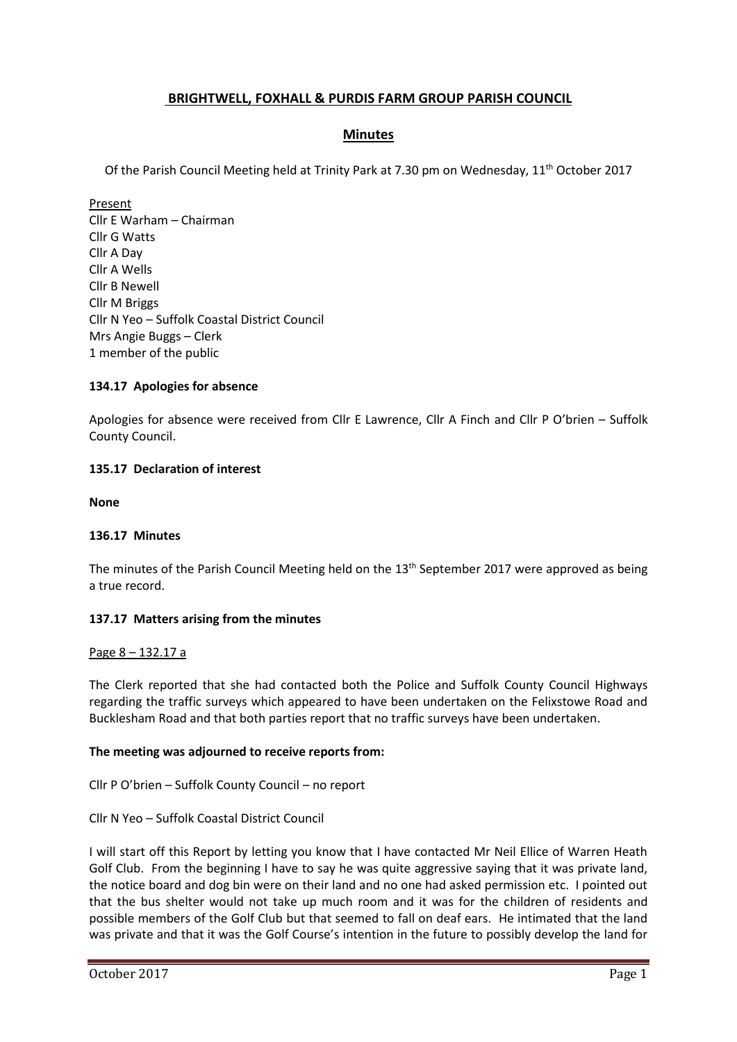# **BRIGHTWELL, FOXHALL & PURDIS FARM GROUP PARISH COUNCIL**

# **Minutes**

Of the Parish Council Meeting held at Trinity Park at 7.30 pm on Wednesday, 11th October 2017

Present Cllr E Warham – Chairman Cllr G Watts Cllr A Day Cllr A Wells Cllr B Newell Cllr M Briggs Cllr N Yeo – Suffolk Coastal District Council Mrs Angie Buggs – Clerk 1 member of the public

# **134.17 Apologies for absence**

Apologies for absence were received from Cllr E Lawrence, Cllr A Finch and Cllr P O'brien – Suffolk County Council.

### **135.17 Declaration of interest**

**None**

### **136.17 Minutes**

The minutes of the Parish Council Meeting held on the 13<sup>th</sup> September 2017 were approved as being a true record.

### **137.17 Matters arising from the minutes**

### Page 8 – 132.17 a

The Clerk reported that she had contacted both the Police and Suffolk County Council Highways regarding the traffic surveys which appeared to have been undertaken on the Felixstowe Road and Bucklesham Road and that both parties report that no traffic surveys have been undertaken.

### **The meeting was adjourned to receive reports from:**

Cllr P O'brien – Suffolk County Council – no report

Cllr N Yeo – Suffolk Coastal District Council

I will start off this Report by letting you know that I have contacted Mr Neil Ellice of Warren Heath Golf Club. From the beginning I have to say he was quite aggressive saying that it was private land, the notice board and dog bin were on their land and no one had asked permission etc. I pointed out that the bus shelter would not take up much room and it was for the children of residents and possible members of the Golf Club but that seemed to fall on deaf ears. He intimated that the land was private and that it was the Golf Course's intention in the future to possibly develop the land for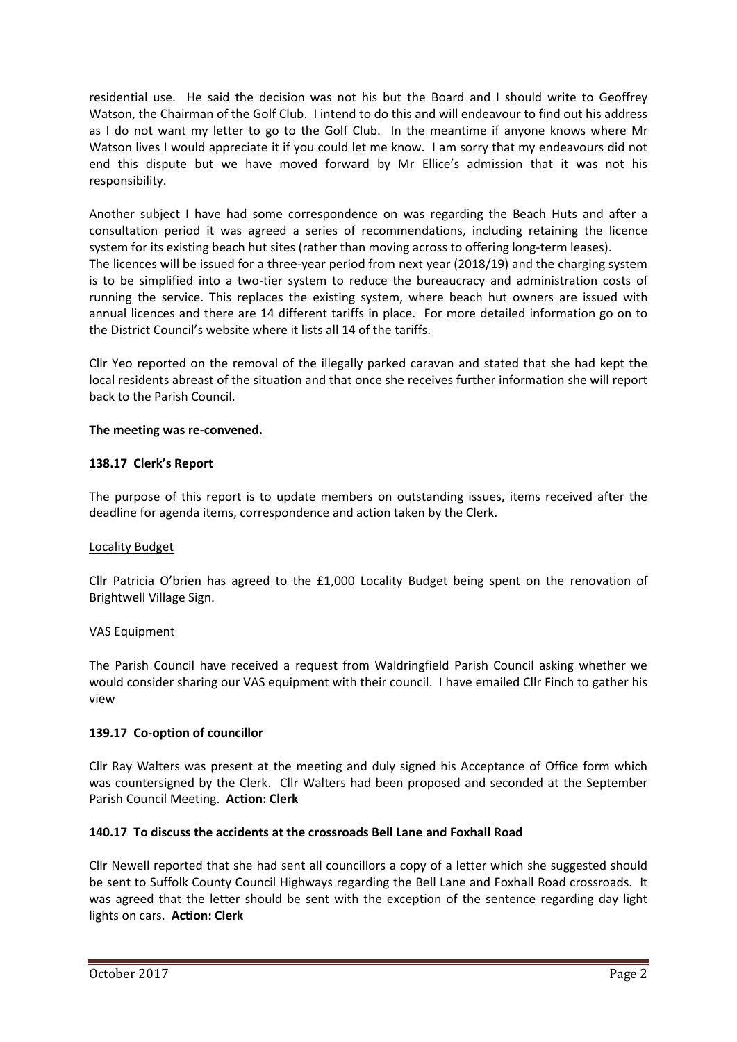residential use. He said the decision was not his but the Board and I should write to Geoffrey Watson, the Chairman of the Golf Club. I intend to do this and will endeavour to find out his address as I do not want my letter to go to the Golf Club. In the meantime if anyone knows where Mr Watson lives I would appreciate it if you could let me know. I am sorry that my endeavours did not end this dispute but we have moved forward by Mr Ellice's admission that it was not his responsibility.

Another subject I have had some correspondence on was regarding the Beach Huts and after a consultation period it was agreed a series of recommendations, including retaining the licence system for its existing beach hut sites (rather than moving across to offering long-term leases). The licences will be issued for a three-year period from next year (2018/19) and the charging system is to be simplified into a two-tier system to reduce the bureaucracy and administration costs of running the service. This replaces the existing system, where beach hut owners are issued with annual licences and there are 14 different tariffs in place. For more detailed information go on to the District Council's website where it lists all 14 of the tariffs.

Cllr Yeo reported on the removal of the illegally parked caravan and stated that she had kept the local residents abreast of the situation and that once she receives further information she will report back to the Parish Council.

# **The meeting was re-convened.**

# **138.17 Clerk's Report**

The purpose of this report is to update members on outstanding issues, items received after the deadline for agenda items, correspondence and action taken by the Clerk.

### Locality Budget

Cllr Patricia O'brien has agreed to the £1,000 Locality Budget being spent on the renovation of Brightwell Village Sign.

### VAS Equipment

The Parish Council have received a request from Waldringfield Parish Council asking whether we would consider sharing our VAS equipment with their council. I have emailed Cllr Finch to gather his view

# **139.17 Co-option of councillor**

Cllr Ray Walters was present at the meeting and duly signed his Acceptance of Office form which was countersigned by the Clerk. Cllr Walters had been proposed and seconded at the September Parish Council Meeting. **Action: Clerk**

### **140.17 To discuss the accidents at the crossroads Bell Lane and Foxhall Road**

Cllr Newell reported that she had sent all councillors a copy of a letter which she suggested should be sent to Suffolk County Council Highways regarding the Bell Lane and Foxhall Road crossroads. It was agreed that the letter should be sent with the exception of the sentence regarding day light lights on cars. **Action: Clerk**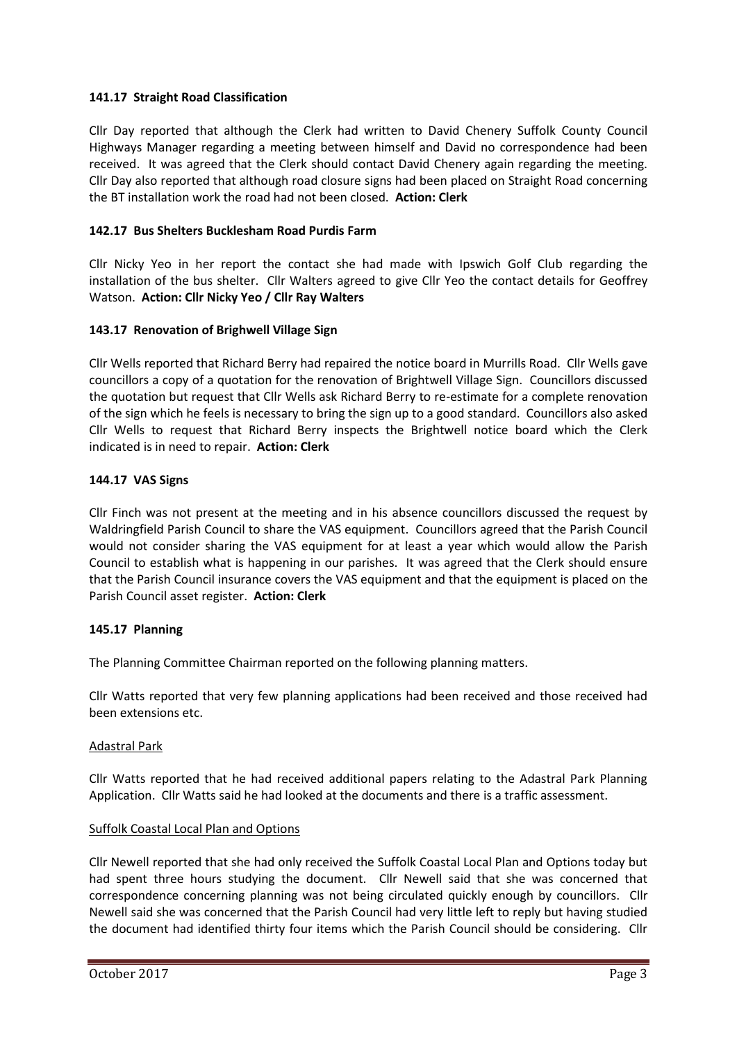# **141.17 Straight Road Classification**

Cllr Day reported that although the Clerk had written to David Chenery Suffolk County Council Highways Manager regarding a meeting between himself and David no correspondence had been received. It was agreed that the Clerk should contact David Chenery again regarding the meeting. Cllr Day also reported that although road closure signs had been placed on Straight Road concerning the BT installation work the road had not been closed. **Action: Clerk**

# **142.17 Bus Shelters Bucklesham Road Purdis Farm**

Cllr Nicky Yeo in her report the contact she had made with Ipswich Golf Club regarding the installation of the bus shelter. Cllr Walters agreed to give Cllr Yeo the contact details for Geoffrey Watson. **Action: Cllr Nicky Yeo / Cllr Ray Walters**

# **143.17 Renovation of Brighwell Village Sign**

Cllr Wells reported that Richard Berry had repaired the notice board in Murrills Road. Cllr Wells gave councillors a copy of a quotation for the renovation of Brightwell Village Sign. Councillors discussed the quotation but request that Cllr Wells ask Richard Berry to re-estimate for a complete renovation of the sign which he feels is necessary to bring the sign up to a good standard. Councillors also asked Cllr Wells to request that Richard Berry inspects the Brightwell notice board which the Clerk indicated is in need to repair. **Action: Clerk**

# **144.17 VAS Signs**

Cllr Finch was not present at the meeting and in his absence councillors discussed the request by Waldringfield Parish Council to share the VAS equipment. Councillors agreed that the Parish Council would not consider sharing the VAS equipment for at least a year which would allow the Parish Council to establish what is happening in our parishes. It was agreed that the Clerk should ensure that the Parish Council insurance covers the VAS equipment and that the equipment is placed on the Parish Council asset register. **Action: Clerk**

### **145.17 Planning**

The Planning Committee Chairman reported on the following planning matters.

Cllr Watts reported that very few planning applications had been received and those received had been extensions etc.

### Adastral Park

Cllr Watts reported that he had received additional papers relating to the Adastral Park Planning Application. Cllr Watts said he had looked at the documents and there is a traffic assessment.

### Suffolk Coastal Local Plan and Options

Cllr Newell reported that she had only received the Suffolk Coastal Local Plan and Options today but had spent three hours studying the document. Cllr Newell said that she was concerned that correspondence concerning planning was not being circulated quickly enough by councillors. Cllr Newell said she was concerned that the Parish Council had very little left to reply but having studied the document had identified thirty four items which the Parish Council should be considering. Cllr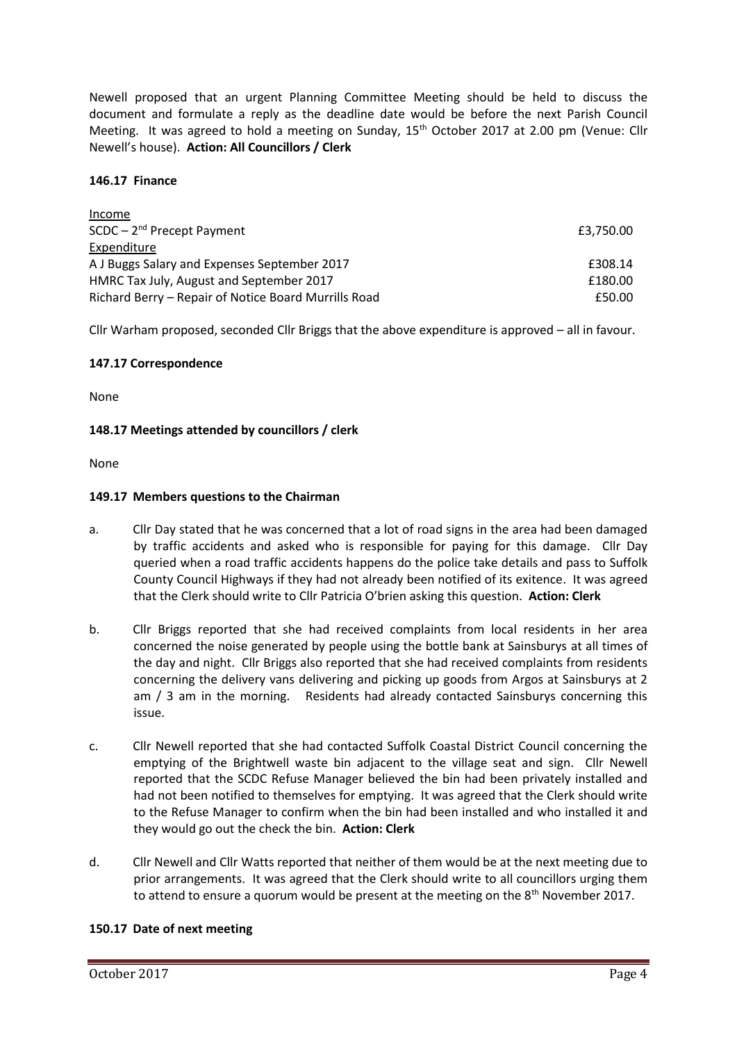Newell proposed that an urgent Planning Committee Meeting should be held to discuss the document and formulate a reply as the deadline date would be before the next Parish Council Meeting. It was agreed to hold a meeting on Sunday, 15<sup>th</sup> October 2017 at 2.00 pm (Venue: Cllr Newell's house). **Action: All Councillors / Clerk**

# **146.17 Finance**

| Income                                               |           |
|------------------------------------------------------|-----------|
| $SCDC - 2nd Precept Payment$                         | £3,750.00 |
| Expenditure                                          |           |
| A J Buggs Salary and Expenses September 2017         | £308.14   |
| HMRC Tax July, August and September 2017             | £180.00   |
| Richard Berry - Repair of Notice Board Murrills Road | £50.00    |

Cllr Warham proposed, seconded Cllr Briggs that the above expenditure is approved – all in favour.

# **147.17 Correspondence**

None

# **148.17 Meetings attended by councillors / clerk**

None

# **149.17 Members questions to the Chairman**

- a. Cllr Day stated that he was concerned that a lot of road signs in the area had been damaged by traffic accidents and asked who is responsible for paying for this damage. Cllr Day queried when a road traffic accidents happens do the police take details and pass to Suffolk County Council Highways if they had not already been notified of its exitence. It was agreed that the Clerk should write to Cllr Patricia O'brien asking this question. **Action: Clerk**
- b. Cllr Briggs reported that she had received complaints from local residents in her area concerned the noise generated by people using the bottle bank at Sainsburys at all times of the day and night. Cllr Briggs also reported that she had received complaints from residents concerning the delivery vans delivering and picking up goods from Argos at Sainsburys at 2 am / 3 am in the morning. Residents had already contacted Sainsburys concerning this issue.
- c. Cllr Newell reported that she had contacted Suffolk Coastal District Council concerning the emptying of the Brightwell waste bin adjacent to the village seat and sign. Cllr Newell reported that the SCDC Refuse Manager believed the bin had been privately installed and had not been notified to themselves for emptying. It was agreed that the Clerk should write to the Refuse Manager to confirm when the bin had been installed and who installed it and they would go out the check the bin. **Action: Clerk**
- d. Cllr Newell and Cllr Watts reported that neither of them would be at the next meeting due to prior arrangements. It was agreed that the Clerk should write to all councillors urging them to attend to ensure a quorum would be present at the meeting on the 8<sup>th</sup> November 2017.

### **150.17 Date of next meeting**